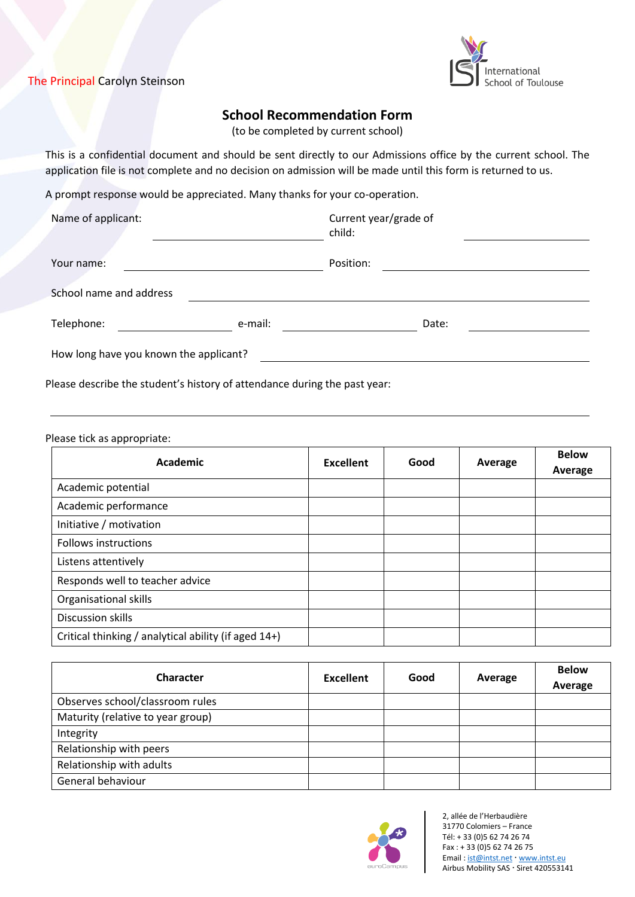# The Principal Carolyn Steinson



# **School Recommendation Form**

(to be completed by current school)

This is a confidential document and should be sent directly to our Admissions office by the current school. The application file is not complete and no decision on admission will be made until this form is returned to us.

A prompt response would be appreciated. Many thanks for your co-operation.

| Name of applicant:                     |         | Current year/grade of<br>child: |  |
|----------------------------------------|---------|---------------------------------|--|
| Your name:                             |         | Position:                       |  |
| School name and address                |         |                                 |  |
| Telephone:                             | e-mail: | Date:                           |  |
| How long have you known the applicant? |         |                                 |  |

Please describe the student's history of attendance during the past year:

#### Please tick as appropriate:

| <b>Academic</b>                                      | Excellent | Good | Average | <b>Below</b><br>Average |
|------------------------------------------------------|-----------|------|---------|-------------------------|
| Academic potential                                   |           |      |         |                         |
| Academic performance                                 |           |      |         |                         |
| Initiative / motivation                              |           |      |         |                         |
| <b>Follows instructions</b>                          |           |      |         |                         |
| Listens attentively                                  |           |      |         |                         |
| Responds well to teacher advice                      |           |      |         |                         |
| Organisational skills                                |           |      |         |                         |
| <b>Discussion skills</b>                             |           |      |         |                         |
| Critical thinking / analytical ability (if aged 14+) |           |      |         |                         |

| <b>Character</b>                  | <b>Excellent</b> | Good | Average | <b>Below</b><br>Average |
|-----------------------------------|------------------|------|---------|-------------------------|
| Observes school/classroom rules   |                  |      |         |                         |
| Maturity (relative to year group) |                  |      |         |                         |
| Integrity                         |                  |      |         |                         |
| Relationship with peers           |                  |      |         |                         |
| Relationship with adults          |                  |      |         |                         |
| General behaviour                 |                  |      |         |                         |



2, allée de l'Herbaudière 31770 Colomiers – France Tél: + 33 (0)5 62 74 26 74 Fax: + 33 (0) 5 62 74 26 75 Email [: ist@intst.net](mailto:ist@intst.net) [www.intst.eu](http://www.intst.eu/) Airbus Mobility SAS · Siret 420553141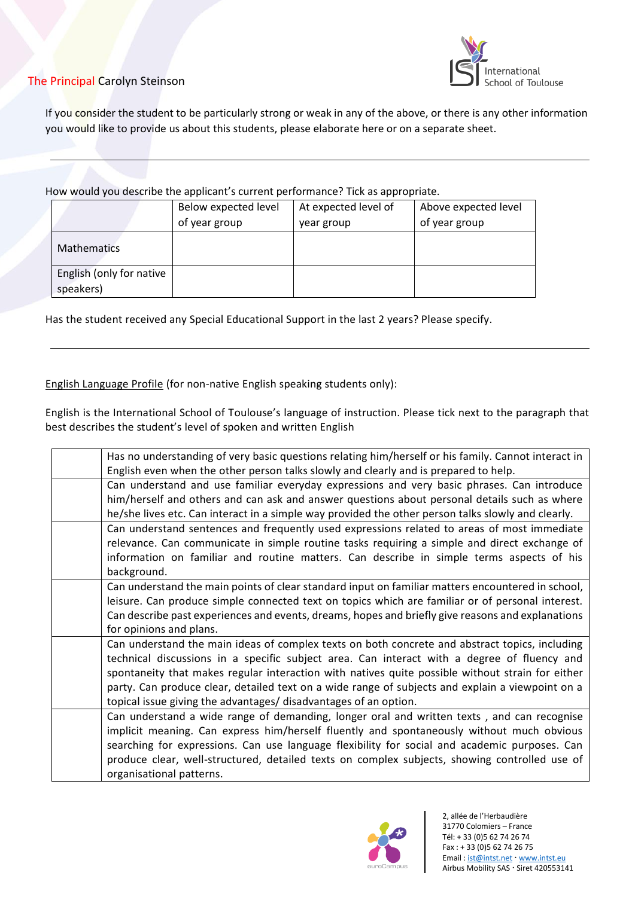## The Principal Carolyn Steinson



If you consider the student to be particularly strong or weak in any of the above, or there is any other information you would like to provide us about this students, please elaborate here or on a separate sheet.

### How would you describe the applicant's current performance? Tick as appropriate.

|                          | Below expected level | At expected level of | Above expected level |
|--------------------------|----------------------|----------------------|----------------------|
|                          | of year group        | year group           | of year group        |
| <b>Mathematics</b>       |                      |                      |                      |
| English (only for native |                      |                      |                      |
| speakers)                |                      |                      |                      |

Has the student received any Special Educational Support in the last 2 years? Please specify.

## English Language Profile (for non-native English speaking students only):

English is the International School of Toulouse's language of instruction. Please tick next to the paragraph that best describes the student's level of spoken and written English

| Has no understanding of very basic questions relating him/herself or his family. Cannot interact in                                                                                                                                                                                                                                                                                                                                                                       |
|---------------------------------------------------------------------------------------------------------------------------------------------------------------------------------------------------------------------------------------------------------------------------------------------------------------------------------------------------------------------------------------------------------------------------------------------------------------------------|
| English even when the other person talks slowly and clearly and is prepared to help.                                                                                                                                                                                                                                                                                                                                                                                      |
| Can understand and use familiar everyday expressions and very basic phrases. Can introduce<br>him/herself and others and can ask and answer questions about personal details such as where<br>he/she lives etc. Can interact in a simple way provided the other person talks slowly and clearly.                                                                                                                                                                          |
| Can understand sentences and frequently used expressions related to areas of most immediate<br>relevance. Can communicate in simple routine tasks requiring a simple and direct exchange of<br>information on familiar and routine matters. Can describe in simple terms aspects of his<br>background.                                                                                                                                                                    |
| Can understand the main points of clear standard input on familiar matters encountered in school,<br>leisure. Can produce simple connected text on topics which are familiar or of personal interest.<br>Can describe past experiences and events, dreams, hopes and briefly give reasons and explanations<br>for opinions and plans.                                                                                                                                     |
| Can understand the main ideas of complex texts on both concrete and abstract topics, including<br>technical discussions in a specific subject area. Can interact with a degree of fluency and<br>spontaneity that makes regular interaction with natives quite possible without strain for either<br>party. Can produce clear, detailed text on a wide range of subjects and explain a viewpoint on a<br>topical issue giving the advantages/ disadvantages of an option. |
| Can understand a wide range of demanding, longer oral and written texts, and can recognise<br>implicit meaning. Can express him/herself fluently and spontaneously without much obvious<br>searching for expressions. Can use language flexibility for social and academic purposes. Can<br>produce clear, well-structured, detailed texts on complex subjects, showing controlled use of<br>organisational patterns.                                                     |